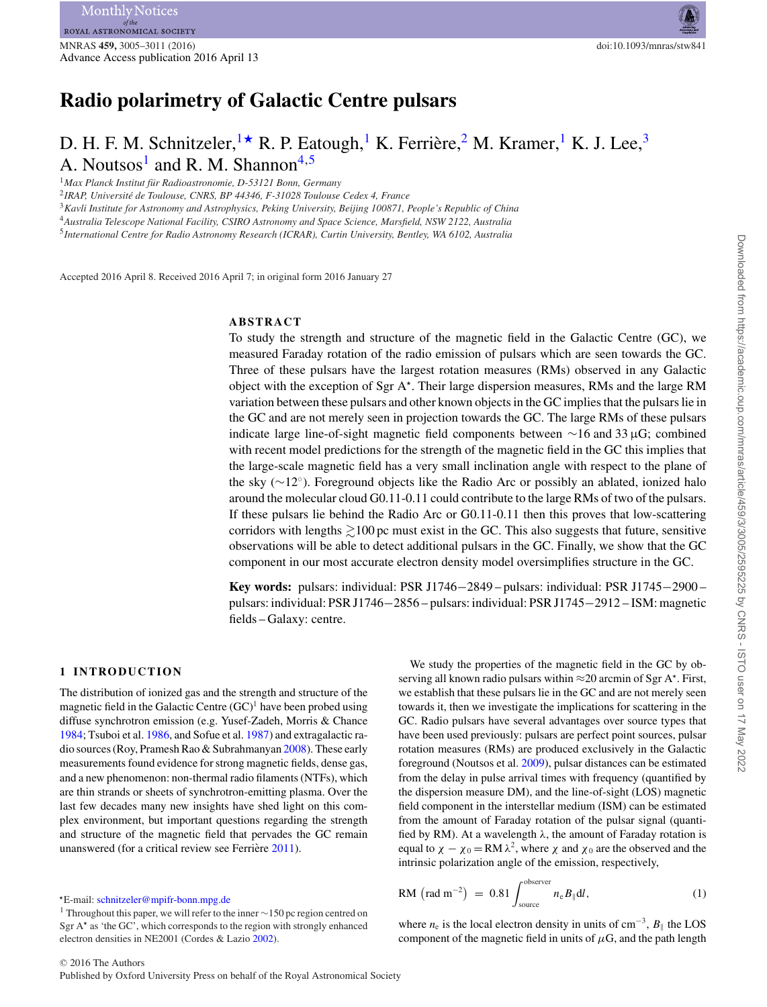# **Radio polarimetry of Galactic Centre pulsars**

## D. H. F. M. Schnitzeler,  $1\star$  $1\star$  R. P. Eatough, <sup>1</sup> K. Ferrière, <sup>[2](#page-0-2)</sup> M. Kramer, <sup>1</sup> K. J. Lee, <sup>[3](#page-0-3)</sup> A. Noutsos<sup>1</sup> and R. M. Shannon<sup>4,[5](#page-0-5)</sup>

<span id="page-0-0"></span><sup>1</sup>*Max Planck Institut fur Radioastronomie, D-53121 Bonn, Germany ¨*

<span id="page-0-2"></span><sup>2</sup>*IRAP, Universite de Toulouse, CNRS, BP 44346, F-31028 Toulouse Cedex 4, France ´*

<span id="page-0-3"></span><sup>3</sup>*Kavli Institute for Astronomy and Astrophysics, Peking University, Beijing 100871, People's Republic of China*

<span id="page-0-4"></span><sup>4</sup>*Australia Telescope National Facility, CSIRO Astronomy and Space Science, Marsfield, NSW 2122, Australia*

<span id="page-0-5"></span><sup>5</sup>*International Centre for Radio Astronomy Research (ICRAR), Curtin University, Bentley, WA 6102, Australia*

Accepted 2016 April 8. Received 2016 April 7; in original form 2016 January 27

#### **ABSTRACT**

To study the strength and structure of the magnetic field in the Galactic Centre (GC), we measured Faraday rotation of the radio emission of pulsars which are seen towards the GC. Three of these pulsars have the largest rotation measures (RMs) observed in any Galactic object with the exception of Sgr A*-*. Their large dispersion measures, RMs and the large RM variation between these pulsars and other known objects in the GC implies that the pulsars lie in the GC and are not merely seen in projection towards the GC. The large RMs of these pulsars indicate large line-of-sight magnetic field components between ∼16 and 33 µG; combined with recent model predictions for the strength of the magnetic field in the GC this implies that the large-scale magnetic field has a very small inclination angle with respect to the plane of the sky (∼12◦). Foreground objects like the Radio Arc or possibly an ablated, ionized halo around the molecular cloud G0.11-0.11 could contribute to the large RMs of two of the pulsars. If these pulsars lie behind the Radio Arc or G0.11-0.11 then this proves that low-scattering corridors with lengths  $\gtrsim$ 100 pc must exist in the GC. This also suggests that future, sensitive observations will be able to detect additional pulsars in the GC. Finally, we show that the GC component in our most accurate electron density model oversimplifies structure in the GC.

**Key words:** pulsars: individual: PSR J1746−2849 – pulsars: individual: PSR J1745−2900 – pulsars: individual: PSR J1746−2856 – pulsars: individual: PSR J1745−2912 – ISM: magnetic fields – Galaxy: centre.

#### **1 INTRODUCTION**

The distribution of ionized gas and the strength and structure of the magnetic field in the Galactic Centre  $(GC)^1$  have been probed using diffuse synchrotron emission (e.g. Yusef-Zadeh, Morris & Chance [1984;](#page-6-0) Tsuboi et al. [1986,](#page-6-1) and Sofue et al. [1987\)](#page-6-2) and extragalactic radio sources (Roy, Pramesh Rao & Subrahmanyan [2008\)](#page-5-0). These early measurements found evidence for strong magnetic fields, dense gas, and a new phenomenon: non-thermal radio filaments (NTFs), which are thin strands or sheets of synchrotron-emitting plasma. Over the last few decades many new insights have shed light on this complex environment, but important questions regarding the strength and structure of the magnetic field that pervades the GC remain unanswered (for a critical review see Ferrière [2011\)](#page-5-1).

<span id="page-0-1"></span>*-*E-mail: [schnitzeler@mpifr-bonn.mpg.de](mailto:schnitzeler@mpifr-bonn.mpg.de)

We study the properties of the magnetic field in the GC by observing all known radio pulsars within ≈20 arcmin of Sgr A*-*. First, we establish that these pulsars lie in the GC and are not merely seen towards it, then we investigate the implications for scattering in the GC. Radio pulsars have several advantages over source types that have been used previously: pulsars are perfect point sources, pulsar rotation measures (RMs) are produced exclusively in the Galactic foreground (Noutsos et al. [2009\)](#page-5-3), pulsar distances can be estimated from the delay in pulse arrival times with frequency (quantified by the dispersion measure DM), and the line-of-sight (LOS) magnetic field component in the interstellar medium (ISM) can be estimated from the amount of Faraday rotation of the pulsar signal (quantified by RM). At a wavelength  $\lambda$ , the amount of Faraday rotation is equal to  $\chi - \chi_0 = RM \lambda^2$ , where  $\chi$  and  $\chi_0$  are the observed and the intrinsic polarization angle of the emission[,](#page-1-0) respectively,

$$
RM\left(\text{rad m}^{-2}\right) = 0.81 \int_{\text{source}}^{\text{observer}} n_{\text{e}} B_{\parallel} \text{d}l, \tag{1}
$$

where  $n_e$  is the local electron density in units of cm<sup>-3</sup>,  $B_{\parallel}$  the LOS component of the magnetic field in units of  $\mu$ G, and the path length

<sup>&</sup>lt;sup>1</sup> Throughout this paper, we will refer to the inner  $\sim$ 150 pc region centred on Sgr A<sup>\*</sup> as 'the GC', which corresponds to the region with strongly enhanced electron densities in NE2001 (Cordes & Lazio [2002\)](#page-5-2).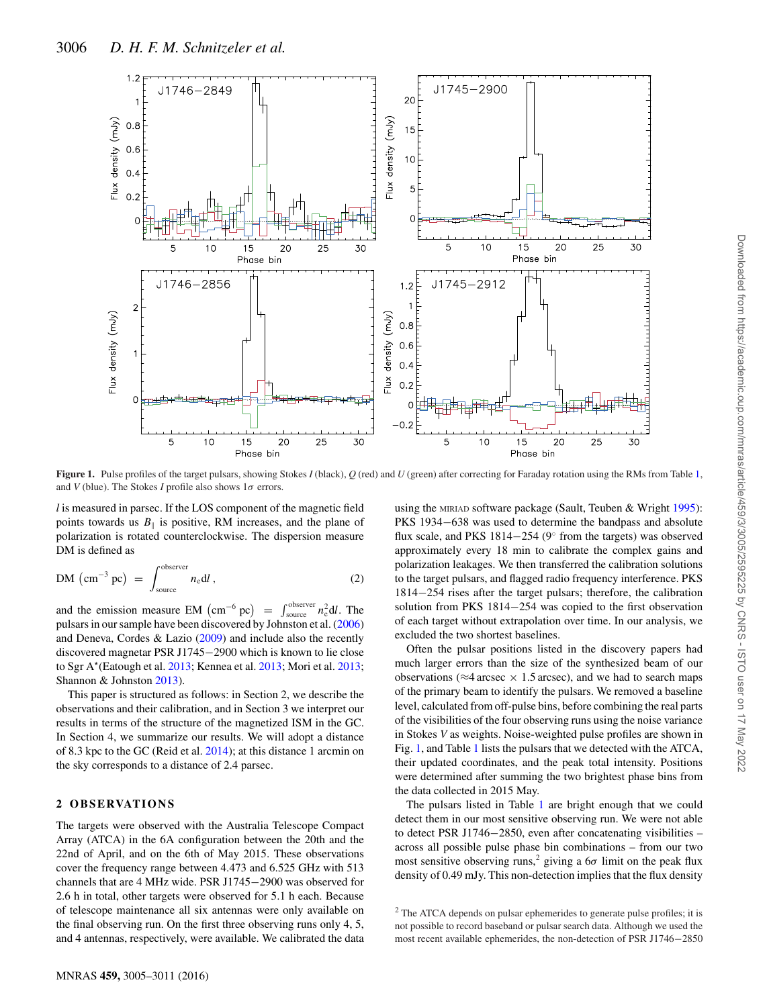<span id="page-1-0"></span>

**Figure 1.** Pulse profiles of the target pulsars, showing Stokes *I* (black), *Q* (red) and *U* (green) after correcting for Faraday rotation using the RMs from Table [1,](#page-2-0) and *V* (blue). The Stokes *I* profile also shows  $1\sigma$  errors.

*l* is measured in parsec. If the LOS component of the magnetic field points towards us  $B_{\parallel}$  is positive, RM increases, and the plane of polarization is rotated counterclockwise. The dispersion measure DM is defined as

$$
DM (cm^{-3} pc) = \int_{\text{source}}^{\text{observer}} n_{\text{e}} dl , \qquad (2)
$$

and the emission measure EM  $\text{ (cm}^{-6} \text{ pc)} = \int_{\text{source}}^{\text{observer}} n_e^2 \text{ d}l$ . The pulsars in our sample have been discovered by Johnston et al. [\(2006\)](#page-5-4) and Deneva, Cordes & Lazio [\(2009\)](#page-5-5) and include also the recently discovered magnetar PSR J1745−2900 which is known to lie close to Sgr A*-*(Eatough et al. [2013;](#page-5-6) Kennea et al. [2013;](#page-5-7) Mori et al. [2013;](#page-5-8) Shannon & Johnston [2013\)](#page-5-9).

This paper is structured as follows: in Section 2, we describe the observations and their calibration, and in Section 3 we interpret our results in terms of the structure of the magnetized ISM in the GC. In Section 4, we summarize our results. We will adopt a distance of 8.3 kpc to the GC (Reid et al. [2014\)](#page-5-10); at this distance 1 arcmin on the sky corresponds to a distance of 2.4 parsec.

#### **2 OB SE RVAT IO N S**

The targets were observed with the Australia Telescope Compact Array (ATCA) in the 6A configuration between the 20th and the 22nd of April, and on the 6th of May 2015. These observations cover the frequency range between 4.473 and 6.525 GHz with 513 channels that are 4 MHz wide. PSR J1745−2900 was observed for 2.6 h in total, other targets were observed for 5.1 h each. Because of telescope maintenance all six antennas were only available on the final observing run. On the first three observing runs only 4, 5, and 4 antennas, respectively, were available. We calibrated the data

using the MIRIAD software package (Sault, Teuben & Wright [1995\)](#page-5-11): PKS 1934−638 was used to determine the bandpass and absolute flux scale, and PKS 1814−254 (9◦ from the targets) was observed approximately every 18 min to calibrate the complex gains and polarization leakages. We then transferred the calibration solutions to the target pulsars, and flagged radio frequency interference. PKS 1814−254 rises after the target pulsars; therefore, the calibration solution from PKS 1814−254 was copied to the first observation of each target without extrapolation over time. In our analysis, we excluded the two shortest baselines.

Often the pulsar positions listed in the discovery papers had much larger errors than the size of the synthesized beam of our observations ( $\approx$ 4 arcsec  $\times$  1.5 arcsec), and we had to search maps of the primary beam to identify the pulsars. We removed a baseline level, calculated from off-pulse bins, before combining the real parts of the visibilities of the four observing runs using the noise variance in Stokes *V* as weights. Noise-weighted pulse profiles are shown in Fig. [1,](#page-1-0) and Table [1](#page-2-0) lists the pulsars that we detected with the ATCA, their updated coordinates, and the peak total intensity. Positions were determined after summing the two brightest phase bins from the data collected in 2015 May.

The pulsars listed in Table [1](#page-2-0) are bright enough that we could detect them in our most sensitive observing run. We were not able to detect PSR J1746−2850, even after concatenating visibilities – across all possible pulse phase bin combinations – from our two most sensitive observing runs,<sup>2</sup> giving a  $6\sigma$  limit on the peak flux density of 0.49 mJy. This non-detection implies that the flux density

 $2^2$  The ATCA depends on pulsar ephemerides to generate pulse profiles; it is not possible to record baseband or pulsar search data. Although we used the most recent available ephemerides, the non-detection of PSR J1746−2850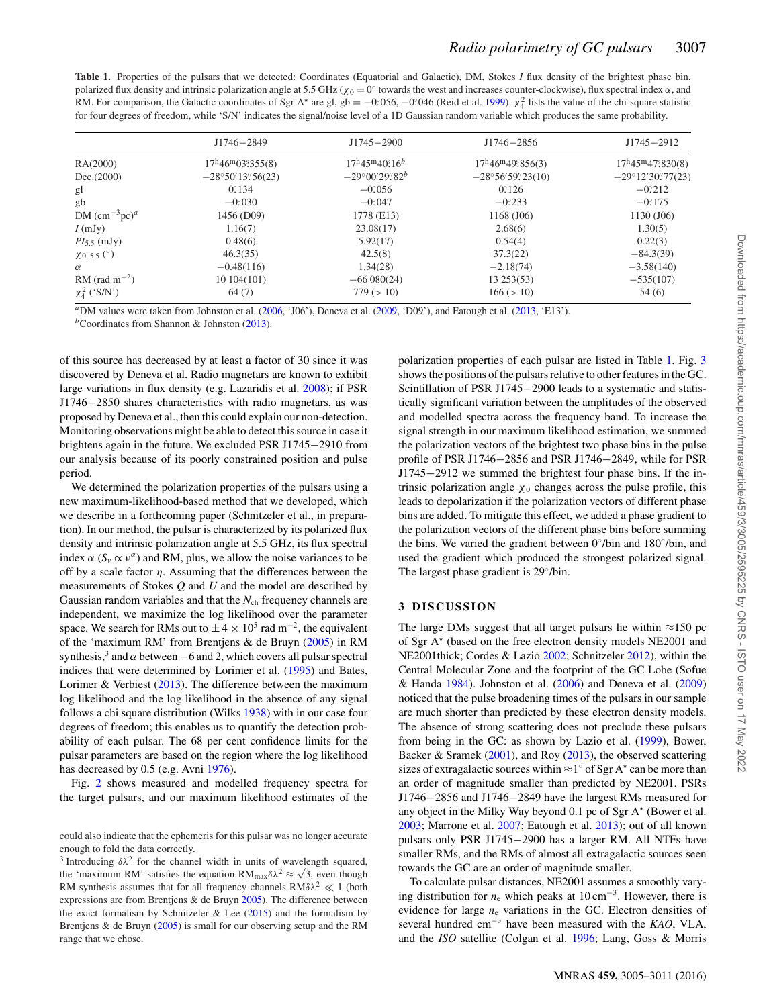<span id="page-2-0"></span>Table 1. Properties of the pulsars that we detected: Coordinates (Equatorial and Galactic), DM, Stokes *I* flux density of the brightest phase bin, polarized flux density and intrinsic polarization angle at 5.5 GHz ( $\chi_0 = 0^\circ$  towards the west and increases counter-clockwise), flux spectral index  $\alpha$ , and RM. For comparison, the Galactic coordinates of Sgr A<sup>+</sup> are gl, gb = −0.<sup>o.</sup>056, −0.<sup>046</sup> (Reid et al. [1999\)](#page-5-12).  $\chi^2$  lists the value of the chi-square statistic for four degrees of freedom, while 'S/N' indicates the signal/noise level of a 1D Gaussian random variable which produces the same probability.

|                             | $J1746 - 2849$                                              | $J1745 - 2900$                              | $J1746 - 2856$                                 | $J1745 - 2912$                                 |
|-----------------------------|-------------------------------------------------------------|---------------------------------------------|------------------------------------------------|------------------------------------------------|
| RA(2000)                    | $17^{\rm h}46^{\rm m}03\overset{\rm s}{\smash{\sim}}355(8)$ | $17^{\rm h}45^{\rm m}40^{\rm s}.16^{\rm b}$ | $17^{\rm h}46^{\rm m}49\rlap{.}^{\rm s}856(3)$ | $17^{\rm h}45^{\rm m}47\rlap{.}^{\rm s}830(8)$ |
| Dec.(2000)                  | $-28^{\circ}50'13''\cdot56(23)$                             | $-29^{\circ}00'29''32^b$                    | $-28^{\circ}56'59''23(10)$                     | $-29^{\circ}12'30''77(23)$                     |
| gl                          | 0.134                                                       | $-0.056$                                    | 0:126                                          | $-0.212$                                       |
| gb                          | $-0.030$                                                    | $-0.047$                                    | $-0.233$                                       | $-0.175$                                       |
| DM $(cm^{-3}pc)^a$          | 1456 (D09)                                                  | 1778 (E13)                                  | 1168 (J06)                                     | 1130 (J06)                                     |
| $I$ (mJy)                   | 1.16(7)                                                     | 23.08(17)                                   | 2.68(6)                                        | 1.30(5)                                        |
| $PI_{5.5}$ (mJy)            | 0.48(6)                                                     | 5.92(17)                                    | 0.54(4)                                        | 0.22(3)                                        |
| $X_{0, 5.5}$ (°)            | 46.3(35)                                                    | 42.5(8)                                     | 37.3(22)                                       | $-84.3(39)$                                    |
| $\alpha$                    | $-0.48(116)$                                                | 1.34(28)                                    | $-2.18(74)$                                    | $-3.58(140)$                                   |
| $RM$ (rad m <sup>-2</sup> ) | 10104(101)                                                  | $-66080(24)$                                | 13 253(53)                                     | $-535(107)$                                    |
| $\chi_4^2$ ('S/N')          | 64(7)                                                       | 779 (> 10)                                  | 166 (> 10)                                     | 54 (6)                                         |

*<sup>a</sup>*DM values were taken from Johnston et al. [\(2006,](#page-5-4) 'J06'), Deneva et al. [\(2009,](#page-5-5) 'D09'), and Eatough et al. [\(2013,](#page-5-6) 'E13'). <sup>*b*</sup>Coordinates from Shannon & Johnston [\(2013\)](#page-5-9).

of this source has decreased by at least a factor of 30 since it was discovered by Deneva et al. Radio magnetars are known to exhibit large variations in flux density (e.g. Lazaridis et al. [2008\)](#page-5-13); if PSR J1746−2850 shares characteristics with radio magnetars, as was proposed by Deneva et al., then this could explain our non-detection. Monitoring observations might be able to detect this source in case it brightens again in the future. We excluded PSR J1745−2910 from our analysis because of its poorly constrained position and pulse period.

We determined the polarization properties of the pulsars using a new maximum-likelihood-based method that we developed, which we describe in a forthcoming paper (Schnitzeler et al., in preparation). In our method, the pulsar is characterized by its polarized flux density and intrinsic polarization angle at 5.5 GHz, its flux spectral index  $\alpha$  ( $S_v \propto v^{\alpha}$ ) and RM, plus, we allow the noise variances to be off by a scale factor *η*. Assuming that the differences between the measurements of Stokes *Q* and *U* and the model are described by Gaussian random variables and that the  $N_{ch}$  frequency channels are independent, we maximize the log likelihood over the parameter space. We search for RMs out to  $\pm 4 \times 10^5$  rad m<sup>-2</sup>, the equivalent of the 'maximum RM' from Brentjens & de Bruyn [\(2005\)](#page-5-14) in RM synthesis,<sup>3</sup> and  $\alpha$  between  $-6$  and 2, which covers all pulsar spectral indices that were determined by Lorimer et al. [\(1995\)](#page-5-15) and Bates, Lorimer & Verbiest  $(2013)$ . The difference between the maximum log likelihood and the log likelihood in the absence of any signal follows a chi square distribution (Wilks [1938\)](#page-6-3) with in our case four degrees of freedom; this enables us to quantify the detection probability of each pulsar. The 68 per cent confidence limits for the pulsar parameters are based on the region where the log likelihood has decreased by 0.5 (e.g. Avni [1976\)](#page-5-17).

Fig. [2](#page-3-0) shows measured and modelled frequency spectra for the target pulsars, and our maximum likelihood estimates of the polarization properties of each pulsar are listed in Table [1.](#page-2-0) Fig. [3](#page-3-1) shows the positions of the pulsars relative to other features in the GC. Scintillation of PSR J1745−2900 leads to a systematic and statistically significant variation between the amplitudes of the observed and modelled spectra across the frequency band. To increase the signal strength in our maximum likelihood estimation, we summed the polarization vectors of the brightest two phase bins in the pulse profile of PSR J1746−2856 and PSR J1746−2849, while for PSR J1745−2912 we summed the brightest four phase bins. If the intrinsic polarization angle  $\chi_0$  changes across the pulse profile, this leads to depolarization if the polarization vectors of different phase bins are added. To mitigate this effect, we added a phase gradient to the polarization vectors of the different phase bins before summing the bins. We varied the gradient between 0◦/bin and 180◦/bin, and used the gradient which produced the strongest polarized signal. The largest phase gradient is 29◦/bin.

### **3 DISCUSSION**

The large DMs suggest that all target pulsars lie within  $\approx$ 150 pc of Sgr A*-* (based on the free electron density models NE2001 and NE2001thick; Cordes & Lazio [2002;](#page-5-2) Schnitzeler [2012\)](#page-5-19), within the Central Molecular Zone and the footprint of the GC Lobe (Sofue & Handa [1984\)](#page-6-4). Johnston et al. [\(2006\)](#page-5-4) and Deneva et al. [\(2009\)](#page-5-5) noticed that the pulse broadening times of the pulsars in our sample are much shorter than predicted by these electron density models. The absence of strong scattering does not preclude these pulsars from being in the GC: as shown by Lazio et al. [\(1999\)](#page-5-20), Bower, Backer & Sramek [\(2001\)](#page-5-21), and Roy [\(2013\)](#page-5-22), the observed scattering sizes of extragalactic sources within ≈1◦ of Sgr A*-* can be more than an order of magnitude smaller than predicted by NE2001. PSRs J1746−2856 and J1746−2849 have the largest RMs measured for any object in the Milky Way beyond 0.1 pc of Sgr A*-* (Bower et al. [2003;](#page-5-23) Marrone et al. [2007;](#page-5-24) Eatough et al. [2013\)](#page-5-6); out of all known pulsars only PSR J1745−2900 has a larger RM. All NTFs have smaller RMs, and the RMs of almost all extragalactic sources seen towards the GC are an order of magnitude smaller.

To calculate pulsar distances, NE2001 assumes a smoothly varying distribution for *n*<sup>e</sup> which peaks at 10 cm−3. However, there is evidence for large  $n_e$  variations in the GC. Electron densities of several hundred cm−<sup>3</sup> have been measured with the *KAO*, VLA, and the *ISO* satellite (Colgan et al. [1996;](#page-5-25) Lang, Goss & Morris

could also indicate that the ephemeris for this pulsar was no longer accurate enough to fold the data correctly.

<sup>&</sup>lt;sup>3</sup> Introducing  $\delta \lambda^2$  for the channel width in units of wavelength squared, the 'maximum RM' satisfies the equation  $RM_{max}\delta\lambda^2 \approx \sqrt{3}$ , even though RM synthesis assumes that for all frequency channels  $RM\delta\lambda^2 \ll 1$  (both expressions are from Brentjens & de Bruyn [2005\)](#page-5-14). The difference between the exact formalism by Schnitzeler & Lee  $(2015)$  and the formalism by Brentjens & de Bruyn [\(2005\)](#page-5-14) is small for our observing setup and the RM range that we chose.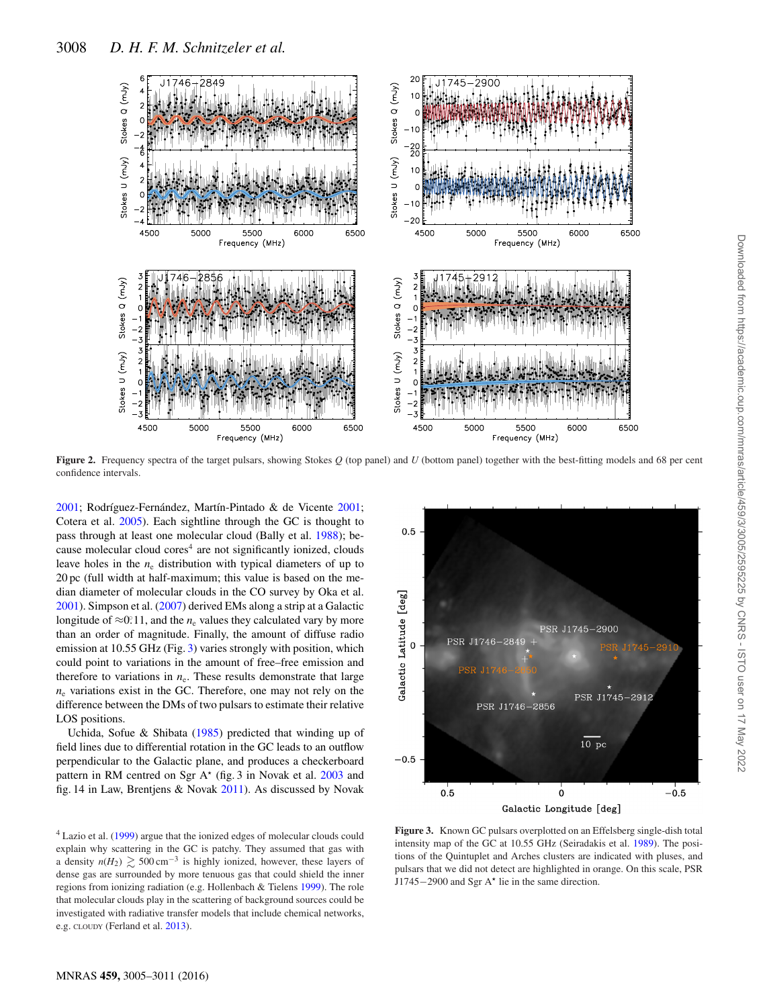<span id="page-3-0"></span>

**Figure 2.** Frequency spectra of the target pulsars, showing Stokes *Q* (top panel) and *U* (bottom panel) together with the best-fitting models and 68 per cent confidence intervals.

[2001;](#page-5-27) Rodríguez-Fernández, Martín-Pintado & de Vicente 2001; Cotera et al. [2005\)](#page-5-28). Each sightline through the GC is thought to pass through at least one molecular cloud (Bally et al. [1988\)](#page-5-29); because molecular cloud cores<sup>4</sup> are not significantly ionized, clouds leave holes in the  $n_e$  distribution with typical diameters of up to 20 pc (full width at half-maximum; this value is based on the median diameter of molecular clouds in the CO survey by Oka et al. [2001\)](#page-5-30). Simpson et al. [\(2007\)](#page-6-5) derived EMs along a strip at a Galactic longitude of  $\approx 0.211$ , and the  $n_e$  values they calculated vary by more than an order of magnitude. Finally, the amount of diffuse radio emission at 10.55 GHz (Fig. [3\)](#page-3-1) varies strongly with position, which could point to variations in the amount of free–free emission and therefore to variations in  $n_e$ . These results demonstrate that large  $n_e$  variations exist in the GC. Therefore, one may not rely on the difference between the DMs of two pulsars to estimate their relative LOS positions.

Uchida, Sofue & Shibata [\(1985\)](#page-6-6) predicted that winding up of field lines due to differential rotation in the GC leads to an outflow perpendicular to the Galactic plane, and produces a checkerboard pattern in RM centred on Sgr A<sup>\*</sup> (fig. 3 in Novak et al. [2003](#page-5-31) and fig. 14 in Law, Brentjens & Novak [2011\)](#page-5-32). As discussed by Novak

<sup>4</sup> Lazio et al. [\(1999\)](#page-5-20) argue that the ionized edges of molecular clouds could explain why scattering in the GC is patchy. They assumed that gas with a density  $n(H_2) \gtrsim 500 \text{ cm}^{-3}$  is highly ionized, however, these layers of dense gas are surrounded by more tenuous gas that could shield the inner regions from ionizing radiation (e.g. Hollenbach & Tielens [1999\)](#page-5-33). The role that molecular clouds play in the scattering of background sources could be investigated with radiative transfer models that include chemical networks, e.g. CLOUDY (Ferland et al. [2013\)](#page-5-34).

<span id="page-3-1"></span>

**Figure 3.** Known GC pulsars overplotted on an Effelsberg single-dish total intensity map of the GC at 10.55 GHz (Seiradakis et al. [1989\)](#page-5-35). The positions of the Quintuplet and Arches clusters are indicated with pluses, and pulsars that we did not detect are highlighted in orange. On this scale, PSR J1745−2900 and Sgr A*-* lie in the same direction.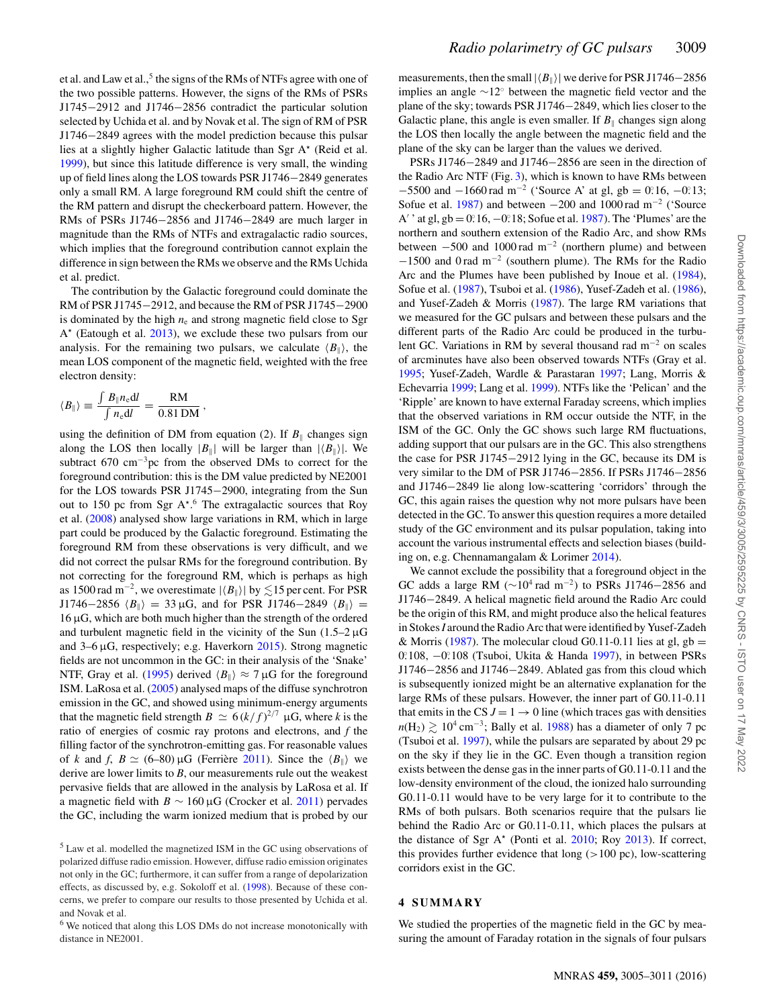et al. and Law et al.,<sup>5</sup> the signs of the RMs of NTFs agree with one of the two possible patterns. However, the signs of the RMs of PSRs J1745−2912 and J1746−2856 contradict the particular solution selected by Uchida et al. and by Novak et al. The sign of RM of PSR J1746−2849 agrees with the model prediction because this pulsar lies at a slightly higher Galactic latitude than Sgr A*-* (Reid et al. [1999\)](#page-5-12), but since this latitude difference is very small, the winding up of field lines along the LOS towards PSR J1746−2849 generates only a small RM. A large foreground RM could shift the centre of the RM pattern and disrupt the checkerboard pattern. However, the RMs of PSRs J1746−2856 and J1746−2849 are much larger in magnitude than the RMs of NTFs and extragalactic radio sources, which implies that the foreground contribution cannot explain the difference in sign between the RMs we observe and the RMs Uchida et al. predict.

The contribution by the Galactic foreground could dominate the RM of PSR J1745−2912, and because the RM of PSR J1745−2900 is dominated by the high  $n_e$  and strong magnetic field close to Sgr A<sup>\*</sup> (Eatough et al. [2013\)](#page-5-6), we exclude these two pulsars from our analysis. For the remaining two pulsars, we calculate  $\langle B_{\parallel} \rangle$ , the mean LOS component of the magnetic field, weighted with the free electron density:

$$
\langle B_{\parallel}\rangle \equiv \frac{\int B_{\parallel} n_{\rm e} {\rm d}l}{\int n_{\rm e} {\rm d}l} = \frac{\rm RM}{0.81\, {\rm DM}}\,,
$$

using the definition of DM from equation (2). If  $B_{\parallel}$  changes sign along the LOS then locally  $|B_{\parallel}|$  will be larger than  $|\langle B_{\parallel} \rangle|$ . We subtract 670 cm<sup>-3</sup>pc from the observed DMs to correct for the foreground contribution: this is the DM value predicted by NE2001 for the LOS towards PSR J1745−2900, integrating from the Sun out to 150 pc from Sgr A*-*. <sup>6</sup> The extragalactic sources that Roy et al. [\(2008\)](#page-5-0) analysed show large variations in RM, which in large part could be produced by the Galactic foreground. Estimating the foreground RM from these observations is very difficult, and we did not correct the pulsar RMs for the foreground contribution. By not correcting for the foreground RM, which is perhaps as high as 1500 rad m<sup>-2</sup>, we overestimate  $|\langle B_{\parallel} \rangle|$  by  $\leq 15$  per cent. For PSR J1746–2856  $\langle B_{\parallel} \rangle$  = 33 µG, and for PSR J1746–2849  $\langle B_{\parallel} \rangle$  =  $16 \mu$ G, which are both much higher than the strength of the ordered and turbulent magnetic field in the vicinity of the Sun  $(1.5-2 \mu G)$ and  $3-6 \mu G$ , respectively; e.g. Haverkorn  $2015$ ). Strong magnetic fields are not uncommon in the GC: in their analysis of the 'Snake' NTF, Gray et al. [\(1995\)](#page-5-37) derived  $\langle B_{\parallel} \rangle \approx 7 \,\mu$ G for the foreground ISM. LaRosa et al. [\(2005\)](#page-5-38) analysed maps of the diffuse synchrotron emission in the GC, and showed using minimum-energy arguments that the magnetic field strength  $B \simeq 6 (k/f)^{2/7} \mu G$ , where *k* is the ratio of energies of cosmic ray protons and electrons, and *f* the filling factor of the synchrotron-emitting gas. For reasonable values of *k* and *f*,  $B \simeq (6-80) \mu$ G (Ferrière [2011\)](#page-5-1). Since the  $\langle B_{\parallel} \rangle$  we derive are lower limits to *B*, our measurements rule out the weakest pervasive fields that are allowed in the analysis by LaRosa et al. If a magnetic field with *B* ~ 160 µG (Crocker et al. [2011\)](#page-5-39) pervades the GC, including the warm ionized medium that is probed by our measurements, then the small  $|{B_{\parallel}}|$  we derive for PSR J1746–2856 implies an angle ∼12◦ between the magnetic field vector and the plane of the sky; towards PSR J1746−2849, which lies closer to the Galactic plane, this angle is even smaller. If  $B_{\parallel}$  changes sign along the LOS then locally the angle between the magnetic field and the plane of the sky can be larger than the values we derived.

PSRs J1746−2849 and J1746−2856 are seen in the direction of the Radio Arc NTF (Fig. [3\)](#page-3-1), which is known to have RMs between −5500 and −1660 rad m<sup>−2</sup> ('Source A' at gl, gb = 0.<sup>o</sup>.16, −0.<sup>o.</sup>13; Sofue et al. [1987\)](#page-6-2) and between  $-200$  and 1000 rad m<sup>-2</sup> ('Source A' ' at gl, gb = 0.<sup>2</sup> 16, −0.<sup>2</sup> 18; Sofue et al. [1987\)](#page-6-2). The 'Plumes' are the northern and southern extension of the Radio Arc, and show RMs between  $-500$  and  $1000$  rad m<sup>-2</sup> (northern plume) and between <sup>−</sup>1500 and 0 rad m−<sup>2</sup> (southern plume). The RMs for the Radio Arc and the Plumes have been published by Inoue et al. [\(1984\)](#page-5-40), Sofue et al. [\(1987\)](#page-6-2), Tsuboi et al. [\(1986\)](#page-6-1), Yusef-Zadeh et al. [\(1986\)](#page-6-8), and Yusef-Zadeh & Morris [\(1987\)](#page-6-9). The large RM variations that we measured for the GC pulsars and between these pulsars and the different parts of the Radio Arc could be produced in the turbulent GC. Variations in RM by several thousand rad m−<sup>2</sup> on scales of arcminutes have also been observed towards NTFs (Gray et al. [1995;](#page-5-37) Yusef-Zadeh, Wardle & Parastaran [1997;](#page-6-10) Lang, Morris & Echevarria [1999;](#page-5-41) Lang et al. [1999\)](#page-5-42). NTFs like the 'Pelican' and the 'Ripple' are known to have external Faraday screens, which implies that the observed variations in RM occur outside the NTF, in the ISM of the GC. Only the GC shows such large RM fluctuations, adding support that our pulsars are in the GC. This also strengthens the case for PSR J1745−2912 lying in the GC, because its DM is very similar to the DM of PSR J1746−2856. If PSRs J1746−2856 and J1746−2849 lie along low-scattering 'corridors' through the GC, this again raises the question why not more pulsars have been detected in the GC. To answer this question requires a more detailed study of the GC environment and its pulsar population, taking into account the various instrumental effects and selection biases (building on, e.g. Chennamangalam & Lorimer [2014\)](#page-5-43).

We cannot exclude the possibility that a foreground object in the GC adds a large RM ( $\sim$ 10<sup>4</sup> rad m<sup>-2</sup>) to PSRs J1746–2856 and J1746−2849. A helical magnetic field around the Radio Arc could be the origin of this RM, and might produce also the helical features in Stokes*I* around the Radio Arc that were identified by Yusef-Zadeh & Morris [\(1987\)](#page-6-9). The molecular cloud G0.11-0.11 lies at gl,  $gb =$ 0*.* ◦108, −0*.* ◦108 (Tsuboi, Ukita & Handa [1997\)](#page-6-11), in between PSRs J1746−2856 and J1746−2849. Ablated gas from this cloud which is subsequently ionized might be an alternative explanation for the large RMs of these pulsars. However, the inner part of G0.11-0.11 that emits in the CS  $J = 1 \rightarrow 0$  line (which traces gas with densities  $n(\text{H}_2) \gtrsim 10^4 \text{ cm}^{-3}$ ; Bally et al. [1988\)](#page-5-29) has a diameter of only 7 pc (Tsuboi et al. [1997\)](#page-6-11), while the pulsars are separated by about 29 pc on the sky if they lie in the GC. Even though a transition region exists between the dense gas in the inner parts of G0.11-0.11 and the low-density environment of the cloud, the ionized halo surrounding G0.11-0.11 would have to be very large for it to contribute to the RMs of both pulsars. Both scenarios require that the pulsars lie behind the Radio Arc or G0.11-0.11, which places the pulsars at the distance of Sgr A<sup>\*</sup> (Ponti et al. [2010;](#page-5-44) Roy [2013\)](#page-5-22). If correct, this provides further evidence that long (*>*100 pc), low-scattering corridors exist in the GC.

#### **4 SUMMARY**

We studied the properties of the magnetic field in the GC by measuring the amount of Faraday rotation in the signals of four pulsars

<sup>5</sup> Law et al. modelled the magnetized ISM in the GC using observations of polarized diffuse radio emission. However, diffuse radio emission originates not only in the GC; furthermore, it can suffer from a range of depolarization effects, as discussed by, e.g. Sokoloff et al. [\(1998\)](#page-6-7). Because of these concerns, we prefer to compare our results to those presented by Uchida et al. and Novak et al.

<sup>6</sup> We noticed that along this LOS DMs do not increase monotonically with distance in NE2001.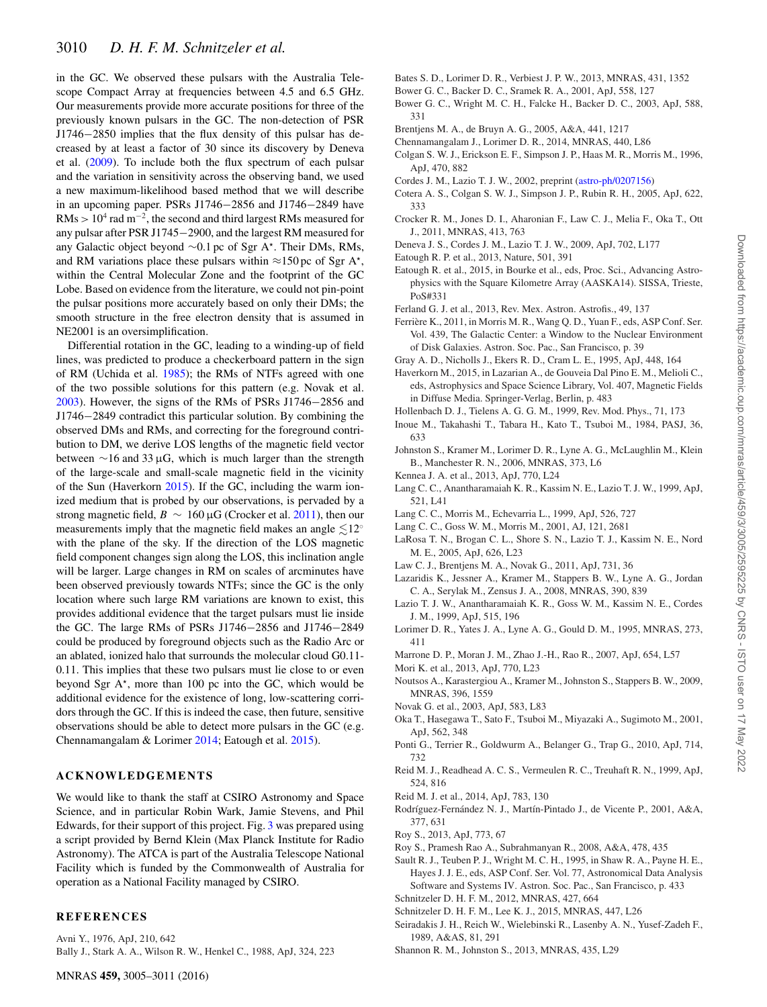in the GC. We observed these pulsars with the Australia Telescope Compact Array at frequencies between 4.5 and 6.5 GHz. Our measurements provide more accurate positions for three of the previously known pulsars in the GC. The non-detection of PSR J1746−2850 implies that the flux density of this pulsar has decreased by at least a factor of 30 since its discovery by Deneva et al. [\(2009\)](#page-5-5). To include both the flux spectrum of each pulsar and the variation in sensitivity across the observing band, we used a new maximum-likelihood based method that we will describe in an upcoming paper. PSRs J1746−2856 and J1746−2849 have RMs *>* 104 rad m−2, the second and third largest RMs measured for any pulsar after PSR J1745−2900, and the largest RM measured for any Galactic object beyond ∼0.1 pc of Sgr A*-*. Their DMs, RMs, and RM variations place these pulsars within ≈150 pc of Sgr A*-*, within the Central Molecular Zone and the footprint of the GC Lobe. Based on evidence from the literature, we could not pin-point the pulsar positions more accurately based on only their DMs; the smooth structure in the free electron density that is assumed in NE2001 is an oversimplification.

Differential rotation in the GC, leading to a winding-up of field lines, was predicted to produce a checkerboard pattern in the sign of RM (Uchida et al. [1985\)](#page-6-6); the RMs of NTFs agreed with one of the two possible solutions for this pattern (e.g. Novak et al. [2003\)](#page-5-31). However, the signs of the RMs of PSRs J1746−2856 and J1746−2849 contradict this particular solution. By combining the observed DMs and RMs, and correcting for the foreground contribution to DM, we derive LOS lengths of the magnetic field vector between ∼16 and 33 µG, which is much larger than the strength of the large-scale and small-scale magnetic field in the vicinity of the Sun (Haverkorn [2015\)](#page-5-36). If the GC, including the warm ionized medium that is probed by our observations, is pervaded by a strong magnetic field,  $B \sim 160 \mu$ G (Crocker et al. [2011\)](#page-5-39), then our measurements imply that the magnetic field makes an angle  $\leq 12°$ with the plane of the sky. If the direction of the LOS magnetic field component changes sign along the LOS, this inclination angle will be larger. Large changes in RM on scales of arcminutes have been observed previously towards NTFs; since the GC is the only location where such large RM variations are known to exist, this provides additional evidence that the target pulsars must lie inside the GC. The large RMs of PSRs J1746−2856 and J1746−2849 could be produced by foreground objects such as the Radio Arc or an ablated, ionized halo that surrounds the molecular cloud G0.11- 0.11. This implies that these two pulsars must lie close to or even beyond Sgr A*-*, more than 100 pc into the GC, which would be additional evidence for the existence of long, low-scattering corridors through the GC. If this is indeed the case, then future, sensitive observations should be able to detect more pulsars in the GC (e.g. Chennamangalam & Lorimer [2014;](#page-5-43) Eatough et al. [2015\)](#page-5-45).

#### **ACKNOWLEDGEMENTS**

We would like to thank the staff at CSIRO Astronomy and Space Science, and in particular Robin Wark, Jamie Stevens, and Phil Edwards, for their support of this project. Fig. [3](#page-3-1) was prepared using a script provided by Bernd Klein (Max Planck Institute for Radio Astronomy). The ATCA is part of the Australia Telescope National Facility which is funded by the Commonwealth of Australia for operation as a National Facility managed by CSIRO.

#### **REFERENCES**

<span id="page-5-29"></span><span id="page-5-17"></span>Avni Y., 1976, ApJ, 210, 642 Bally J., Stark A. A., Wilson R. W., Henkel C., 1988, ApJ, 324, 223

- <span id="page-5-16"></span>Bates S. D., Lorimer D. R., Verbiest J. P. W., 2013, MNRAS, 431, 1352
- <span id="page-5-21"></span>Bower G. C., Backer D. C., Sramek R. A., 2001, ApJ, 558, 127
- <span id="page-5-23"></span>Bower G. C., Wright M. C. H., Falcke H., Backer D. C., 2003, ApJ, 588, 331
- <span id="page-5-14"></span>Brentjens M. A., de Bruyn A. G., 2005, A&A, 441, 1217
- <span id="page-5-43"></span>Chennamangalam J., Lorimer D. R., 2014, MNRAS, 440, L86
- <span id="page-5-25"></span>Colgan S. W. J., Erickson E. F., Simpson J. P., Haas M. R., Morris M., 1996, ApJ, 470, 882
- <span id="page-5-2"></span>Cordes J. M., Lazio T. J. W., 2002, preprint [\(astro-ph/0207156\)](http://arxiv.org/abs/astro-ph/0207156)
- <span id="page-5-28"></span>Cotera A. S., Colgan S. W. J., Simpson J. P., Rubin R. H., 2005, ApJ, 622, 333
- <span id="page-5-39"></span>Crocker R. M., Jones D. I., Aharonian F., Law C. J., Melia F., Oka T., Ott J., 2011, MNRAS, 413, 763
- <span id="page-5-5"></span>Deneva J. S., Cordes J. M., Lazio T. J. W., 2009, ApJ, 702, L177
- <span id="page-5-6"></span>Eatough R. P. et al., 2013, Nature, 501, 391
- <span id="page-5-45"></span>Eatough R. et al., 2015, in Bourke et al., eds, Proc. Sci., Advancing Astrophysics with the Square Kilometre Array (AASKA14). SISSA, Trieste, PoS#331
- <span id="page-5-34"></span>Ferland G. J. et al., 2013, Rev. Mex. Astron. Astrofis., 49, 137
- <span id="page-5-1"></span>Ferrière K., 2011, in Morris M. R., Wang Q. D., Yuan F., eds, ASP Conf. Ser. Vol. 439, The Galactic Center: a Window to the Nuclear Environment of Disk Galaxies. Astron. Soc. Pac., San Francisco, p. 39
- <span id="page-5-37"></span>Gray A. D., Nicholls J., Ekers R. D., Cram L. E., 1995, ApJ, 448, 164
- <span id="page-5-36"></span>Haverkorn M., 2015, in Lazarian A., de Gouveia Dal Pino E. M., Melioli C., eds, Astrophysics and Space Science Library, Vol. 407, Magnetic Fields in Diffuse Media. Springer-Verlag, Berlin, p. 483
- <span id="page-5-33"></span>Hollenbach D. J., Tielens A. G. G. M., 1999, Rev. Mod. Phys., 71, 173 Inoue M., Takahashi T., Tabara H., Kato T., Tsuboi M., 1984, PASJ, 36,
- <span id="page-5-40"></span>633
- <span id="page-5-4"></span>Johnston S., Kramer M., Lorimer D. R., Lyne A. G., McLaughlin M., Klein B., Manchester R. N., 2006, MNRAS, 373, L6
- <span id="page-5-7"></span>Kennea J. A. et al., 2013, ApJ, 770, L24
- <span id="page-5-42"></span>Lang C. C., Anantharamaiah K. R., Kassim N. E., Lazio T. J. W., 1999, ApJ, 521, L41
- <span id="page-5-41"></span>Lang C. C., Morris M., Echevarria L., 1999, ApJ, 526, 727
- <span id="page-5-26"></span>Lang C. C., Goss W. M., Morris M., 2001, AJ, 121, 2681
- <span id="page-5-38"></span>LaRosa T. N., Brogan C. L., Shore S. N., Lazio T. J., Kassim N. E., Nord M. E., 2005, ApJ, 626, L23
- <span id="page-5-32"></span>Law C. J., Brentjens M. A., Novak G., 2011, ApJ, 731, 36
- <span id="page-5-13"></span>Lazaridis K., Jessner A., Kramer M., Stappers B. W., Lyne A. G., Jordan C. A., Serylak M., Zensus J. A., 2008, MNRAS, 390, 839
- <span id="page-5-20"></span>Lazio T. J. W., Anantharamaiah K. R., Goss W. M., Kassim N. E., Cordes J. M., 1999, ApJ, 515, 196
- <span id="page-5-15"></span>Lorimer D. R., Yates J. A., Lyne A. G., Gould D. M., 1995, MNRAS, 273, 411
- <span id="page-5-24"></span>Marrone D. P., Moran J. M., Zhao J.-H., Rao R., 2007, ApJ, 654, L57
- <span id="page-5-8"></span>Mori K. et al., 2013, ApJ, 770, L23
- <span id="page-5-3"></span>Noutsos A., Karastergiou A., Kramer M., Johnston S., Stappers B. W., 2009, MNRAS, 396, 1559
- <span id="page-5-31"></span>Novak G. et al., 2003, ApJ, 583, L83
- <span id="page-5-30"></span>Oka T., Hasegawa T., Sato F., Tsuboi M., Miyazaki A., Sugimoto M., 2001, ApJ, 562, 348
- <span id="page-5-44"></span>Ponti G., Terrier R., Goldwurm A., Belanger G., Trap G., 2010, ApJ, 714, 732
- <span id="page-5-12"></span>Reid M. J., Readhead A. C. S., Vermeulen R. C., Treuhaft R. N., 1999, ApJ, 524, 816
- <span id="page-5-10"></span>Reid M. J. et al., 2014, ApJ, 783, 130
- <span id="page-5-27"></span>Rodríguez-Fernández N. J., Martín-Pintado J., de Vicente P., 2001, A&A, 377, 631
- <span id="page-5-22"></span>Roy S., 2013, ApJ, 773, 67
- <span id="page-5-0"></span>Roy S., Pramesh Rao A., Subrahmanyan R., 2008, A&A, 478, 435
- <span id="page-5-11"></span>Sault R. J., Teuben P. J., Wright M. C. H., 1995, in Shaw R. A., Payne H. E., Hayes J. J. E., eds, ASP Conf. Ser. Vol. 77, Astronomical Data Analysis Software and Systems IV. Astron. Soc. Pac., San Francisco, p. 433
- <span id="page-5-19"></span>Schnitzeler D. H. F. M., 2012, MNRAS, 427, 664
- <span id="page-5-18"></span>Schnitzeler D. H. F. M., Lee K. J., 2015, MNRAS, 447, L26
- <span id="page-5-35"></span>Seiradakis J. H., Reich W., Wielebinski R., Lasenby A. N., Yusef-Zadeh F., 1989, A&AS, 81, 291
- <span id="page-5-9"></span>Shannon R. M., Johnston S., 2013, MNRAS, 435, L29